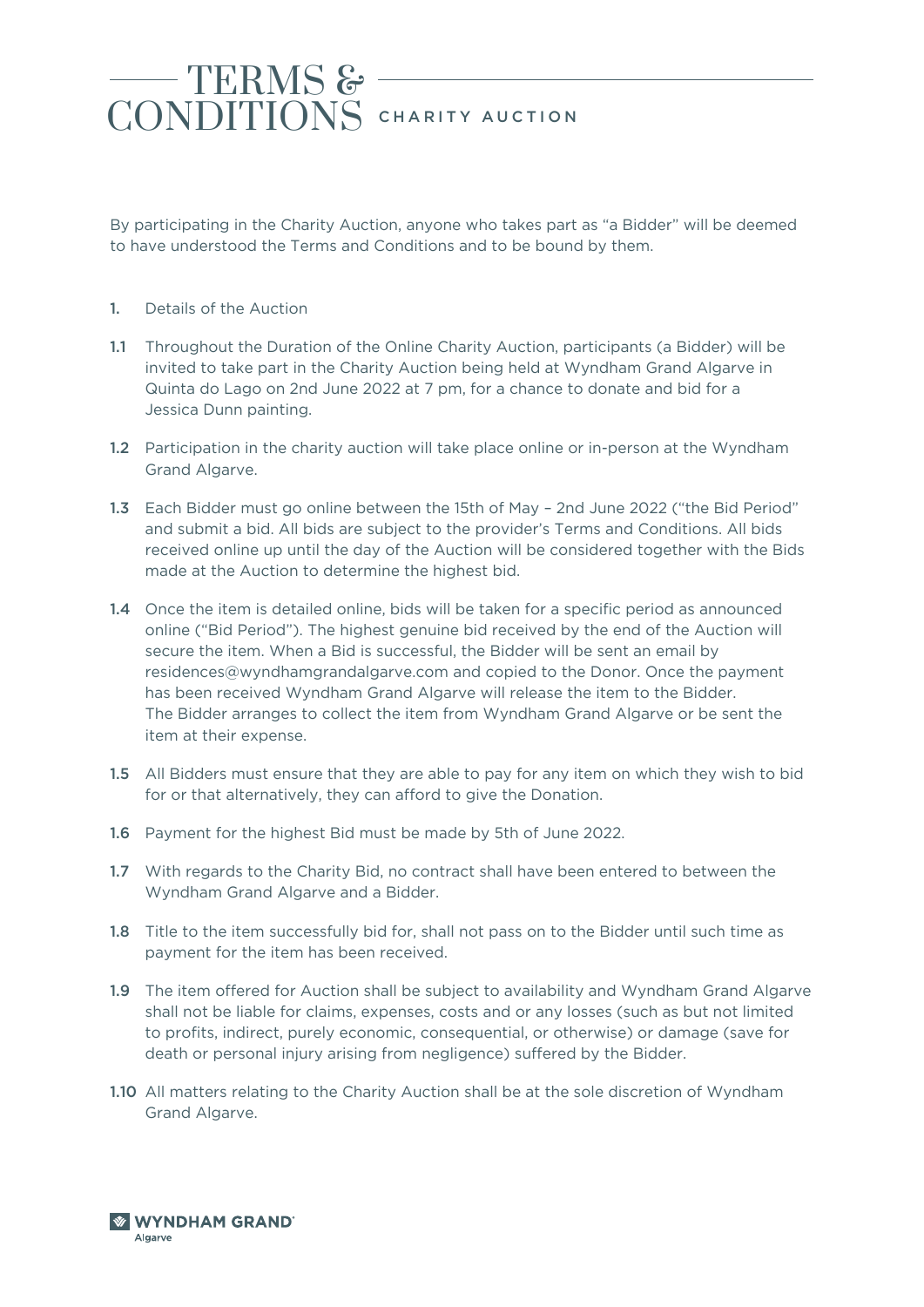## TERMS & CONDITIONS CHARITY AUCTION

By participating in the Charity Auction, anyone who takes part as "a Bidder" will be deemed to have understood the Terms and Conditions and to be bound by them.

- 1. Details of the Auction
- 1.1 Throughout the Duration of the Online Charity Auction, participants (a Bidder) will be invited to take part in the Charity Auction being held at Wyndham Grand Algarve in Quinta do Lago on 2nd June 2022 at 7 pm, for a chance to donate and bid for a Jessica Dunn painting.
- 1.2 Participation in the charity auction will take place online or in-person at the Wyndham Grand Algarve.
- 1.3 Each Bidder must go online between the 15th of May 2nd June 2022 ("the Bid Period" and submit a bid. All bids are subject to the provider's Terms and Conditions. All bids received online up until the day of the Auction will be considered together with the Bids made at the Auction to determine the highest bid.
- **1.4** Once the item is detailed online, bids will be taken for a specific period as announced online ("Bid Period"). The highest genuine bid received by the end of the Auction will secure the item. When a Bid is successful, the Bidder will be sent an email by residences@wyndhamgrandalgarve.com and copied to the Donor. Once the payment has been received Wyndham Grand Algarve will release the item to the Bidder. The Bidder arranges to collect the item from Wyndham Grand Algarve or be sent the item at their expense.
- 1.5 All Bidders must ensure that they are able to pay for any item on which they wish to bid for or that alternatively, they can afford to give the Donation.
- 1.6 Payment for the highest Bid must be made by 5th of June 2022.
- 1.7 With regards to the Charity Bid, no contract shall have been entered to between the Wyndham Grand Algarve and a Bidder.
- 1.8 Title to the item successfully bid for, shall not pass on to the Bidder until such time as payment for the item has been received.
- 1.9 The item offered for Auction shall be subject to availability and Wyndham Grand Algarve shall not be liable for claims, expenses, costs and or any losses (such as but not limited to profits, indirect, purely economic, consequential, or otherwise) or damage (save for death or personal injury arising from negligence) suffered by the Bidder.
- 1.10 All matters relating to the Charity Auction shall be at the sole discretion of Wyndham Grand Algarve.